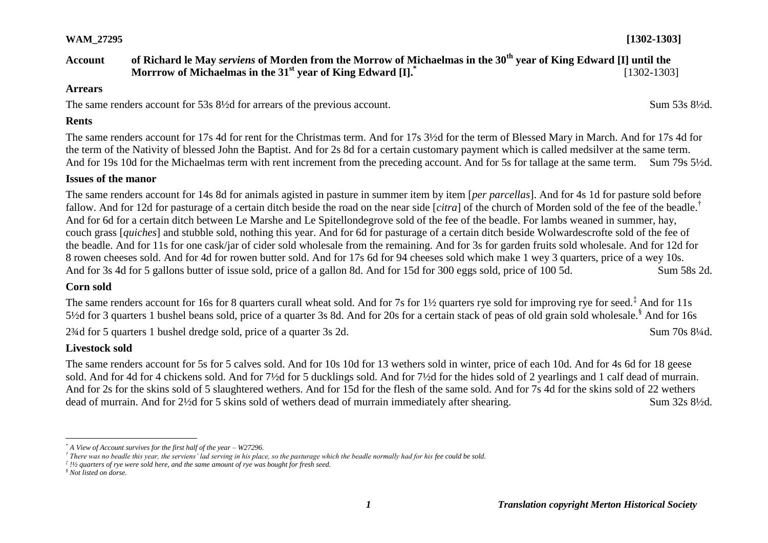# **WAM\_27295 [1302-1303]**

#### **Account of Richard le May** *serviens* **of Morden from the Morrow of Michaelmas in the 30th year of King Edward [I] until the Morrrow of Michaelmas in the 31st year of King Edward [I].\*** [1302-1303]

#### **Arrears**

The same renders account for 53s 8<sup>1/2</sup>d for arrears of the previous account. Sum 53s 8<sup>1/2</sup>d.

#### **Rents**

The same renders account for 17s 4d for rent for the Christmas term. And for 17s 3½d for the term of Blessed Mary in March. And for 17s 4d for the term of the Nativity of blessed John the Baptist. And for 2s 8d for a certain customary payment which is called medsilver at the same term. And for 19s 10d for the Michaelmas term with rent increment from the preceding account. And for 5s for tallage at the same term. Sum 79s 5½d.

## **Issues of the manor**

The same renders account for 14s 8d for animals agisted in pasture in summer item by item [*per parcellas*]. And for 4s 1d for pasture sold before fallow. And for 12d for pasturage of a certain ditch beside the road on the near side [*citra*] of the church of Morden sold of the fee of the beadle.† And for 6d for a certain ditch between Le Marshe and Le Spitellondegrove sold of the fee of the beadle. For lambs weaned in summer, hay, couch grass [*quiches*] and stubble sold, nothing this year. And for 6d for pasturage of a certain ditch beside Wolwardescrofte sold of the fee of the beadle. And for 11s for one cask/jar of cider sold wholesale from the remaining. And for 3s for garden fruits sold wholesale. And for 12d for 8 rowen cheeses sold. And for 4d for rowen butter sold. And for 17s 6d for 94 cheeses sold which make 1 wey 3 quarters, price of a wey 10s. And for 3s 4d for 5 gallons butter of issue sold, price of a gallon 8d. And for 15d for 300 eggs sold, price of 100 5d. Sum 58s 2d.

## **Corn sold**

The same renders account for 16s for 8 quarters curall wheat sold. And for 7s for 1½ quarters rye sold for improving rye for seed.<sup>‡</sup> And for 11s 5<sup>1</sup>/<sub>2</sub>d for 3 quarters 1 bushel beans sold, price of a quarter 3s 8d. And for 20s for a certain stack of peas of old grain sold wholesale.<sup>§</sup> And for 16s 2¾d for 5 quarters 1 bushel dredge sold, price of a quarter 3s 2d. Sum 70s 8¼d.

# **Livestock sold**

The same renders account for 5s for 5 calves sold. And for 10s 10d for 13 wethers sold in winter, price of each 10d. And for 4s 6d for 18 geese sold. And for 4d for 4 chickens sold. And for 7½d for 5 ducklings sold. And for 7½d for the hides sold of 2 yearlings and 1 calf dead of murrain. And for 2s for the skins sold of 5 slaughtered wethers. And for 15d for the flesh of the same sold. And for 7s 4d for the skins sold of 22 wethers dead of murrain. And for 2<sup>1</sup>/<sub>2</sub>d for 5 skins sold of wethers dead of murrain immediately after shearing. Sum 32s 8<sup>1</sup>/<sub>2d</sub>.

 $\overline{a}$ *\* A View of Account survives for the first half of the year – W27296.*

*<sup>†</sup> There was no beadle this year, the serviens' lad serving in his place, so the pasturage which the beadle normally had for his fee could be sold.*

*<sup>‡</sup> !½ quarters of rye were sold here, and the same amount of rye was bought for fresh seed.*

*<sup>§</sup> Not listed on dorse.*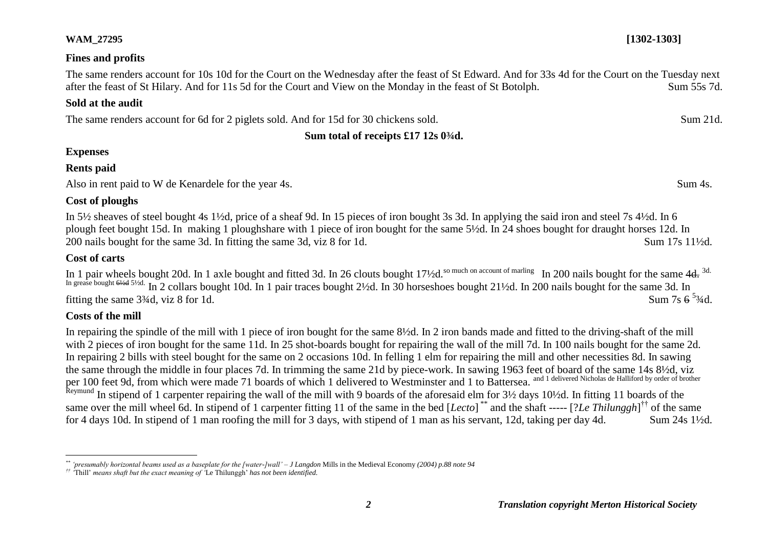#### **WAM\_27295 [1302-1303]**

#### **Fines and profits**

The same renders account for 10s 10d for the Court on the Wednesday after the feast of St Edward. And for 33s 4d for the Court on the Tuesday next after the feast of St Hilary. And for 11s 5d for the Court and View on the Monday in the feast of St Botolph. Sum 55s 7d.

#### **Sold at the audit**

The same renders account for 6d for 2 piglets sold. And for 15d for 30 chickens sold. Sum 21d.

# **Sum total of receipts £17 12s 0¾d.**

# **Expenses**

# **Rents paid**

Also in rent paid to W de Kenardele for the year 4s. Sum 4s.

## **Cost of ploughs**

In 5½ sheaves of steel bought 4s 1½d, price of a sheaf 9d. In 15 pieces of iron bought 3s 3d. In applying the said iron and steel 7s 4½d. In 6 plough feet bought 15d. In making 1 ploughshare with 1 piece of iron bought for the same 5½d. In 24 shoes bought for draught horses 12d. In 200 nails bought for the same 3d. In fitting the same 3d, viz 8 for 1d. Sum 17s 11<sup>1</sup>/2d.

# **Cost of carts**

In 1 pair wheels bought 20d. In 1 axle bought and fitted 3d. In 26 clouts bought 17½d.<sup>So much on account of marling</sup> In 200 nails bought for the same 4<del>d.</del><sup>3d.</sup> In grease bought  $6\frac{1}{2}$ d. In 2 collars bought 10d. In 1 pair traces bought 2½d. In 30 horseshoes bought 21½d. In 200 nails bought for the same 3d. In fitting the same  $3\frac{3}{4}$ d, viz 8 for 1d. Sum 7s  $6^{5}$ <sup>3</sup>/<sub>4d</sub>.

# **Costs of the mill**

In repairing the spindle of the mill with 1 piece of iron bought for the same 8½d. In 2 iron bands made and fitted to the driving-shaft of the mill with 2 pieces of iron bought for the same 11d. In 25 shot-boards bought for repairing the wall of the mill 7d. In 100 nails bought for the same 2d. In repairing 2 bills with steel bought for the same on 2 occasions 10d. In felling 1 elm for repairing the mill and other necessities 8d. In sawing the same through the middle in four places 7d. In trimming the same 21d by piece-work. In sawing 1963 feet of board of the same 14s 8½d, viz per 100 feet 9d, from which were made 71 boards of which 1 delivered to Westminster and 1 to Battersea. and 1 delivered Nicholas de Halliford by order of brother Reymund In stipend of 1 carpenter repairing the wall of the mill with 9 boards of the aforesaid elm for 3½ days 10½d. In fitting 11 boards of the same over the mill wheel 6d. In stipend of 1 carpenter fitting 11 of the same in the bed [*Lecto*]<sup>\*\*</sup> and the shaft ----- [?*Le Thilunggh*]<sup>††</sup> of the same for 4 days 10d. In stipend of 1 man roofing the mill for 3 days, with stipend of 1 man as his servant, 12d, taking per day 4d. Sum 24s 1½d.

 $\overline{a}$ *\*\* 'presumably horizontal beams used as a baseplate for the [water-]wall' – J Langdon* Mills in the Medieval Economy *(2004) p.88 note 94*

*<sup>††</sup> '*Thill' *means shaft but the exact meaning of '*Le Thilunggh' *has not been identified.*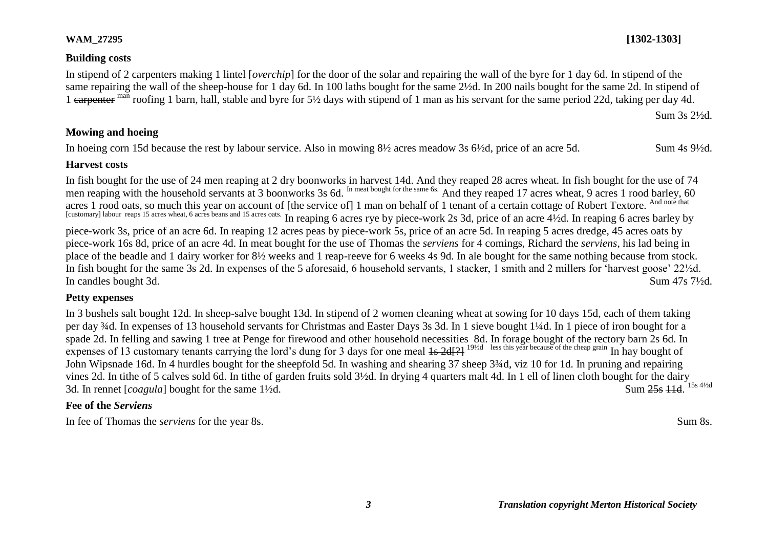#### **Building costs**

In stipend of 2 carpenters making 1 lintel [*overchip*] for the door of the solar and repairing the wall of the byre for 1 day 6d. In stipend of the same repairing the wall of the sheep-house for 1 day 6d. In 100 laths bought for the same 2½d. In 200 nails bought for the same 2d. In stipend of 1 earpenter man roofing 1 barn, hall, stable and byre for 5½ days with stipend of 1 man as his servant for the same period 22d, taking per day 4d.

Sum 3s 2½d.

## **Mowing and hoeing**

In hoeing corn 15d because the rest by labour service. Also in mowing 8½ acres meadow 3s 6½d, price of an acre 5d. Sum 4s 9½d.

#### **Harvest costs**

In fish bought for the use of 24 men reaping at 2 dry boonworks in harvest 14d. And they reaped 28 acres wheat. In fish bought for the use of 74 men reaping with the household servants at 3 boonworks 3s 6d. In meat bought for the same 6s. And they reaped 17 acres wheat, 9 acres 1 rood barley, 60 acres 1 rood oats, so much this year on account of [the service of] 1 man on behalf of 1 tenant of a certain cottage of Robert Textore. And note that [customary] labour reaps 15 acres wheat, 6 acres beans and 15 acres oats. In reaping 6 acres rye by piece-work 2s 3d, price of an acre 4½d. In reaping 6 acres barley by piece-work 3s, price of an acre 6d. In reaping 12 acres peas by piece-work 5s, price of an acre 5d. In reaping 5 acres dredge, 45 acres oats by piece-work 16s 8d, price of an acre 4d. In meat bought for the use of Thomas the *serviens* for 4 comings, Richard the *serviens*, his lad being in place of the beadle and 1 dairy worker for 8½ weeks and 1 reap-reeve for 6 weeks 4s 9d. In ale bought for the same nothing because from stock. In fish bought for the same 3s 2d. In expenses of the 5 aforesaid, 6 household servants, 1 stacker, 1 smith and 2 millers for 'harvest goose' 22½d. In candles bought 3d. Sum 47s 7½d.

## **Petty expenses**

In 3 bushels salt bought 12d. In sheep-salve bought 13d. In stipend of 2 women cleaning wheat at sowing for 10 days 15d, each of them taking per day ¾d. In expenses of 13 household servants for Christmas and Easter Days 3s 3d. In 1 sieve bought 1¼d. In 1 piece of iron bought for a spade 2d. In felling and sawing 1 tree at Penge for firewood and other household necessities 8d. In forage bought of the rectory barn 2s 6d. In expenses of 13 customary tenants carrying the lord's dung for 3 days for one meal 1s 2d[?] <sup>19½d less this year because of the cheap grain In hay bought of</sup> John Wipsnade 16d. In 4 hurdles bought for the sheepfold 5d. In washing and shearing 37 sheep 3¾d, viz 10 for 1d. In pruning and repairing vines 2d. In tithe of 5 calves sold 6d. In tithe of garden fruits sold 3½d. In drying 4 quarters malt 4d. In 1 ell of linen cloth bought for the dairy 3d. In rennet  $[coagula]$  bought for the same  $1\frac{1}{2}d$ . Sum 25s 11d. 15s 41/2d

# **Fee of the** *Serviens*

In fee of Thomas the *serviens* for the year 8s. Sum 8s.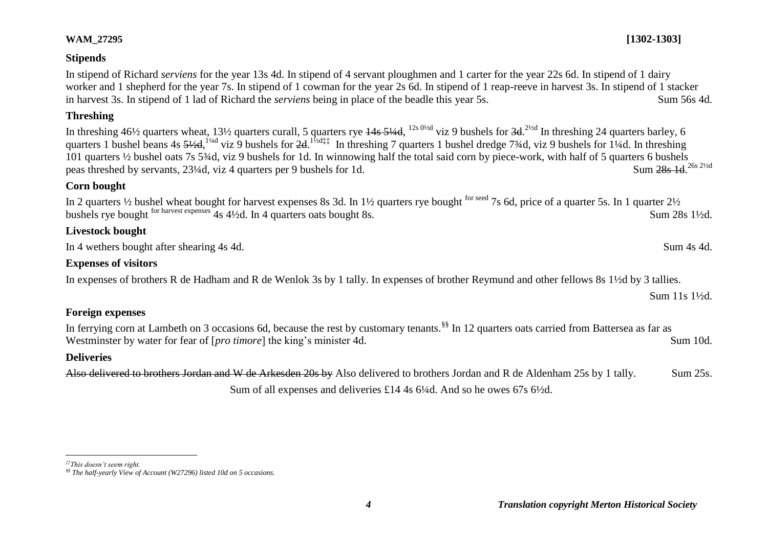#### **Stipends**

In stipend of Richard *serviens* for the year 13s 4d. In stipend of 4 servant ploughmen and 1 carter for the year 22s 6d. In stipend of 1 dairy worker and 1 shepherd for the year 7s. In stipend of 1 cowman for the year 2s 6d. In stipend of 1 reap-reeve in harvest 3s. In stipend of 1 stacker in harvest 3s. In stipend of 1 lad of Richard the *serviens* being in place of the beadle this year 5s. Sum 56s 4d.

#### **Threshing**

In threshing 46½ quarters wheat, 13½ quarters curall, 5 quarters rye  $\frac{44s}{544d}$ ,  $\frac{12s}{9}$  oviz 9 bushels for  $3d$ .  $\frac{2}{2d}$  In threshing 24 quarters barley, 6 quarters 1 bushel beans 4s  $\frac{51}{2}d$ ,  $\frac{1}{4}d$  viz 9 bushels for  $2d$ .  $\frac{1}{2}d$ ; In threshing 7 quarters 1 bushel dredge 73/4d, viz 9 bushels for 1¼d. In threshing 101 quarters ½ bushel oats 7s 5¾d, viz 9 bushels for 1d. In winnowing half the total said corn by piece-work, with half of 5 quarters 6 bushels peas threshed by servants, 23¼d, viz 4 quarters per 9 bushels for 1d. Sum 28s 1d 26s 21/2d

#### **Corn bought**

In 2 quarters <sup>1</sup>/<sub>2</sub> bushel wheat bought for harvest expenses 8s 3d. In 1<sup>1</sup>/<sub>2</sub> quarters rye bought <sup>for seed</sup> 7s 6d, price of a quarter 5s. In 1 quarter 2<sup>1</sup>/<sub>2</sub> bushels rye bought <sup>for harvest expenses</sup> 4s 4½d. In 4 quarters oats bought 8s. Sum 28s 1½d.

## **Livestock bought**

In 4 wethers bought after shearing 4s 4d. Sum 4s 4d.

#### **Expenses of visitors**

In expenses of brothers R de Hadham and R de Wenlok 3s by 1 tally. In expenses of brother Reymund and other fellows 8s 1½d by 3 tallies.

#### **Foreign expenses**

In ferrying corn at Lambeth on 3 occasions 6d, because the rest by customary tenants.<sup>§§</sup> In 12 quarters oats carried from Battersea as far as Westminster by water for fear of [*pro timore*] the king's minister 4d. Sum 10d.

#### **Deliveries**

Also delivered to brothers Jordan and W de Arkesden 20s by Also delivered to brothers Jordan and R de Aldenham 25s by 1 tally. Sum 25s. Sum of all expenses and deliveries £14 4s 6¼d. And so he owes 67s 6½d.

 $\overline{a}$ 

# **WAM\_27295 [1302-1303]**

Sum 11s 1½d.

*<sup>‡‡</sup>This doesn't seem right.*

*<sup>§§</sup> The half-yearly View of Account (W27296) listed 10d on 5 occasions.*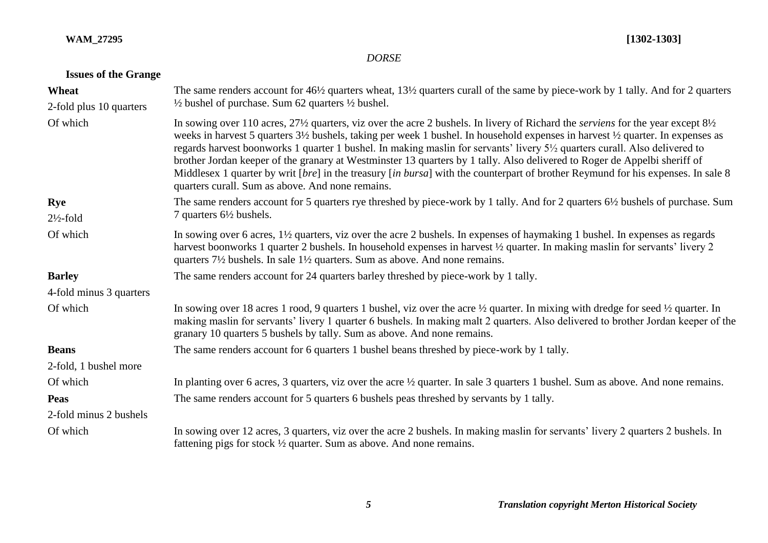## **WAM\_27295 [1302-1303]**

# *DORSE*

# **Issues of the Grange**

| Wheat<br>2-fold plus 10 quarters | The same renders account for 46½ quarters wheat, 13½ quarters curall of the same by piece-work by 1 tally. And for 2 quarters<br>$\frac{1}{2}$ bushel of purchase. Sum 62 quarters $\frac{1}{2}$ bushel.                                                                                                                                                                                                                                                                                                                                                                                                                                                                                                                                                                                                |
|----------------------------------|---------------------------------------------------------------------------------------------------------------------------------------------------------------------------------------------------------------------------------------------------------------------------------------------------------------------------------------------------------------------------------------------------------------------------------------------------------------------------------------------------------------------------------------------------------------------------------------------------------------------------------------------------------------------------------------------------------------------------------------------------------------------------------------------------------|
| Of which                         | In sowing over 110 acres, 27 <sup>1</sup> / <sub>2</sub> quarters, viz over the acre 2 bushels. In livery of Richard the <i>serviens</i> for the year except 8 <sup>1</sup> / <sub>2</sub><br>weeks in harvest 5 quarters 3½ bushels, taking per week 1 bushel. In household expenses in harvest ½ quarter. In expenses as<br>regards harvest boonworks 1 quarter 1 bushel. In making maslin for servants' livery 5 <sup>1</sup> / <sub>2</sub> quarters curall. Also delivered to<br>brother Jordan keeper of the granary at Westminster 13 quarters by 1 tally. Also delivered to Roger de Appelbi sheriff of<br>Middlesex 1 quarter by writ [bre] in the treasury [in bursa] with the counterpart of brother Reymund for his expenses. In sale 8<br>quarters curall. Sum as above. And none remains. |
| <b>Rye</b>                       | The same renders account for 5 quarters rye threshed by piece-work by 1 tally. And for 2 quarters 6½ bushels of purchase. Sum                                                                                                                                                                                                                                                                                                                                                                                                                                                                                                                                                                                                                                                                           |
| $2\frac{1}{2}$ -fold             | 7 quarters $6\frac{1}{2}$ bushels.                                                                                                                                                                                                                                                                                                                                                                                                                                                                                                                                                                                                                                                                                                                                                                      |
| Of which                         | In sowing over 6 acres, 1 <sup>1/2</sup> quarters, viz over the acre 2 bushels. In expenses of haymaking 1 bushel. In expenses as regards<br>harvest boonworks 1 quarter 2 bushels. In household expenses in harvest 1/2 quarter. In making maslin for servants' livery 2<br>quarters $7\frac{1}{2}$ bushels. In sale $1\frac{1}{2}$ quarters. Sum as above. And none remains.                                                                                                                                                                                                                                                                                                                                                                                                                          |
| <b>Barley</b>                    | The same renders account for 24 quarters barley threshed by piece-work by 1 tally.                                                                                                                                                                                                                                                                                                                                                                                                                                                                                                                                                                                                                                                                                                                      |
| 4-fold minus 3 quarters          |                                                                                                                                                                                                                                                                                                                                                                                                                                                                                                                                                                                                                                                                                                                                                                                                         |
| Of which                         | In sowing over 18 acres 1 rood, 9 quarters 1 bushel, viz over the acre $\frac{1}{2}$ quarter. In mixing with dredge for seed $\frac{1}{2}$ quarter. In<br>making maslin for servants' livery 1 quarter 6 bushels. In making malt 2 quarters. Also delivered to brother Jordan keeper of the<br>granary 10 quarters 5 bushels by tally. Sum as above. And none remains.                                                                                                                                                                                                                                                                                                                                                                                                                                  |
| <b>Beans</b>                     | The same renders account for 6 quarters 1 bushel beans threshed by piece-work by 1 tally.                                                                                                                                                                                                                                                                                                                                                                                                                                                                                                                                                                                                                                                                                                               |
| 2-fold, 1 bushel more            |                                                                                                                                                                                                                                                                                                                                                                                                                                                                                                                                                                                                                                                                                                                                                                                                         |
| Of which                         | In planting over 6 acres, 3 quarters, viz over the acre 1/2 quarter. In sale 3 quarters 1 bushel. Sum as above. And none remains.                                                                                                                                                                                                                                                                                                                                                                                                                                                                                                                                                                                                                                                                       |
| Peas                             | The same renders account for 5 quarters 6 bushels peas threshed by servants by 1 tally.                                                                                                                                                                                                                                                                                                                                                                                                                                                                                                                                                                                                                                                                                                                 |
| 2-fold minus 2 bushels           |                                                                                                                                                                                                                                                                                                                                                                                                                                                                                                                                                                                                                                                                                                                                                                                                         |
| Of which                         | In sowing over 12 acres, 3 quarters, viz over the acre 2 bushels. In making maslin for servants' livery 2 quarters 2 bushels. In<br>fattening pigs for stock $\frac{1}{2}$ quarter. Sum as above. And none remains.                                                                                                                                                                                                                                                                                                                                                                                                                                                                                                                                                                                     |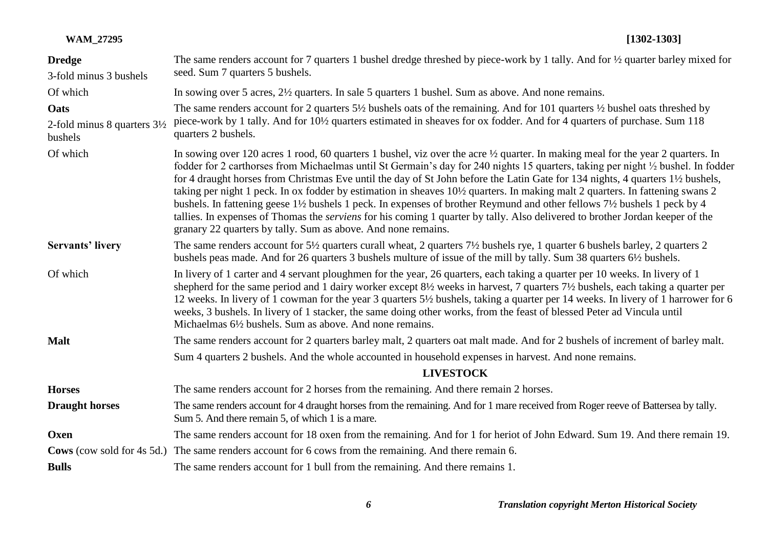| <b>WAM_27295</b>                                  | $[1302 - 1303]$                                                                                                                                                                                                                                                                                                                                                                                                                                                                                                                                                                                                                                                                                                                                                                                                                                                           |
|---------------------------------------------------|---------------------------------------------------------------------------------------------------------------------------------------------------------------------------------------------------------------------------------------------------------------------------------------------------------------------------------------------------------------------------------------------------------------------------------------------------------------------------------------------------------------------------------------------------------------------------------------------------------------------------------------------------------------------------------------------------------------------------------------------------------------------------------------------------------------------------------------------------------------------------|
| <b>Dredge</b><br>3-fold minus 3 bushels           | The same renders account for 7 quarters 1 bushel dredge threshed by piece-work by 1 tally. And for 1/2 quarter barley mixed for<br>seed. Sum 7 quarters 5 bushels.                                                                                                                                                                                                                                                                                                                                                                                                                                                                                                                                                                                                                                                                                                        |
| Of which                                          | In sowing over 5 acres, 2½ quarters. In sale 5 quarters 1 bushel. Sum as above. And none remains.                                                                                                                                                                                                                                                                                                                                                                                                                                                                                                                                                                                                                                                                                                                                                                         |
| Oats                                              | The same renders account for 2 quarters $5\frac{1}{2}$ bushels oats of the remaining. And for 101 quarters $\frac{1}{2}$ bushel oats threshed by                                                                                                                                                                                                                                                                                                                                                                                                                                                                                                                                                                                                                                                                                                                          |
| 2-fold minus 8 quarters $3\frac{1}{2}$<br>bushels | piece-work by 1 tally. And for 10½ quarters estimated in sheaves for ox fodder. And for 4 quarters of purchase. Sum 118<br>quarters 2 bushels.                                                                                                                                                                                                                                                                                                                                                                                                                                                                                                                                                                                                                                                                                                                            |
| Of which                                          | In sowing over 120 acres 1 rood, 60 quarters 1 bushel, viz over the acre 1/2 quarter. In making meal for the year 2 quarters. In<br>fodder for 2 carthorses from Michaelmas until St Germain's day for 240 nights 15 quarters, taking per night 1/2 bushel. In fodder<br>for 4 draught horses from Christmas Eve until the day of St John before the Latin Gate for 134 nights, 4 quarters 1½ bushels,<br>taking per night 1 peck. In ox fodder by estimation in sheaves 10½ quarters. In making malt 2 quarters. In fattening swans 2<br>bushels. In fattening geese 1½ bushels 1 peck. In expenses of brother Reymund and other fellows 7½ bushels 1 peck by 4<br>tallies. In expenses of Thomas the <i>serviens</i> for his coming 1 quarter by tally. Also delivered to brother Jordan keeper of the<br>granary 22 quarters by tally. Sum as above. And none remains. |
| <b>Servants' livery</b>                           | The same renders account for 5½ quarters curall wheat, 2 quarters 7½ bushels rye, 1 quarter 6 bushels barley, 2 quarters 2<br>bushels peas made. And for 26 quarters 3 bushels multure of issue of the mill by tally. Sum 38 quarters 6½ bushels.                                                                                                                                                                                                                                                                                                                                                                                                                                                                                                                                                                                                                         |
| Of which                                          | In livery of 1 carter and 4 servant ploughmen for the year, 26 quarters, each taking a quarter per 10 weeks. In livery of 1<br>shepherd for the same period and 1 dairy worker except 8 <sup>1</sup> / <sub>2</sub> weeks in harvest, 7 quarters 7 <sup>1</sup> / <sub>2</sub> bushels, each taking a quarter per<br>12 weeks. In livery of 1 cowman for the year 3 quarters 5½ bushels, taking a quarter per 14 weeks. In livery of 1 harrower for 6<br>weeks, 3 bushels. In livery of 1 stacker, the same doing other works, from the feast of blessed Peter ad Vincula until<br>Michaelmas 6 <sup>1</sup> / <sub>2</sub> bushels. Sum as above. And none remains.                                                                                                                                                                                                      |
| <b>Malt</b>                                       | The same renders account for 2 quarters barley malt, 2 quarters oat malt made. And for 2 bushels of increment of barley malt.                                                                                                                                                                                                                                                                                                                                                                                                                                                                                                                                                                                                                                                                                                                                             |
|                                                   | Sum 4 quarters 2 bushels. And the whole accounted in household expenses in harvest. And none remains.                                                                                                                                                                                                                                                                                                                                                                                                                                                                                                                                                                                                                                                                                                                                                                     |
|                                                   | $T$ is $T$ on $\Omega$ or $\tau$                                                                                                                                                                                                                                                                                                                                                                                                                                                                                                                                                                                                                                                                                                                                                                                                                                          |

#### **LIVESTOCK**

| <b>Horses</b>         | The same renders account for 2 horses from the remaining. And there remain 2 horses.                                                                                                  |
|-----------------------|---------------------------------------------------------------------------------------------------------------------------------------------------------------------------------------|
| <b>Draught horses</b> | The same renders account for 4 draught horses from the remaining. And for 1 mare received from Roger reeve of Battersea by tally.<br>Sum 5. And there remain 5, of which 1 is a mare. |
| Oxen                  | The same renders account for 18 oxen from the remaining. And for 1 for heriot of John Edward. Sum 19. And there remain 19.                                                            |
|                       | Cows (cow sold for 4s 5d.) The same renders account for 6 cows from the remaining. And there remain 6.                                                                                |
| <b>Bulls</b>          | The same renders account for 1 bull from the remaining. And there remains 1.                                                                                                          |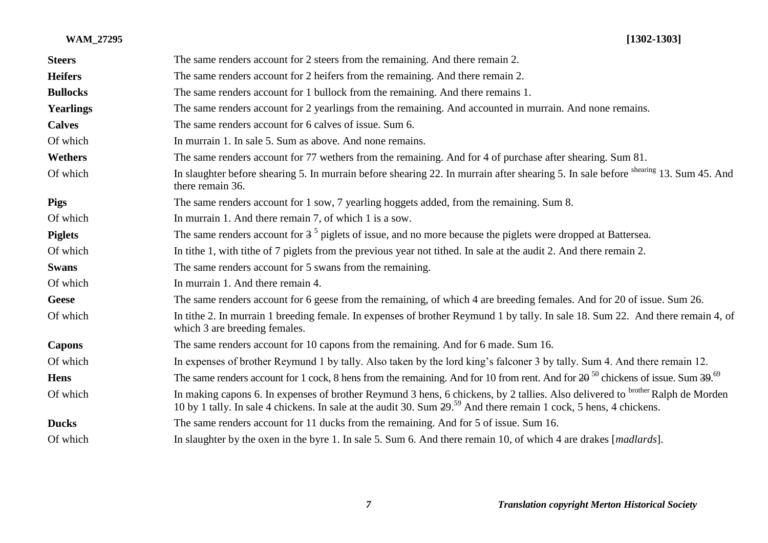| <b>Steers</b>    | The same renders account for 2 steers from the remaining. And there remain 2.                                                                                                                                                                                    |
|------------------|------------------------------------------------------------------------------------------------------------------------------------------------------------------------------------------------------------------------------------------------------------------|
| <b>Heifers</b>   | The same renders account for 2 heifers from the remaining. And there remain 2.                                                                                                                                                                                   |
| <b>Bullocks</b>  | The same renders account for 1 bullock from the remaining. And there remains 1.                                                                                                                                                                                  |
| <b>Yearlings</b> | The same renders account for 2 yearlings from the remaining. And accounted in murrain. And none remains.                                                                                                                                                         |
| <b>Calves</b>    | The same renders account for 6 calves of issue. Sum 6.                                                                                                                                                                                                           |
| Of which         | In murrain 1. In sale 5. Sum as above. And none remains.                                                                                                                                                                                                         |
| <b>Wethers</b>   | The same renders account for 77 wethers from the remaining. And for 4 of purchase after shearing. Sum 81.                                                                                                                                                        |
| Of which         | In slaughter before shearing 5. In murrain before shearing 22. In murrain after shearing 5. In sale before shearing 13. Sum 45. And<br>there remain 36.                                                                                                          |
| <b>Pigs</b>      | The same renders account for 1 sow, 7 yearling hoggets added, from the remaining. Sum 8.                                                                                                                                                                         |
| Of which         | In murrain 1. And there remain 7, of which 1 is a sow.                                                                                                                                                                                                           |
| <b>Piglets</b>   | The same renders account for $35$ piglets of issue, and no more because the piglets were dropped at Battersea.                                                                                                                                                   |
| Of which         | In tithe 1, with tithe of 7 piglets from the previous year not tithed. In sale at the audit 2. And there remain 2.                                                                                                                                               |
| <b>Swans</b>     | The same renders account for 5 swans from the remaining.                                                                                                                                                                                                         |
| Of which         | In murrain 1. And there remain 4.                                                                                                                                                                                                                                |
| <b>Geese</b>     | The same renders account for 6 geese from the remaining, of which 4 are breeding females. And for 20 of issue. Sum 26.                                                                                                                                           |
| Of which         | In tithe 2. In murrain 1 breeding female. In expenses of brother Reymund 1 by tally. In sale 18. Sum 22. And there remain 4, of<br>which 3 are breeding females.                                                                                                 |
| <b>Capons</b>    | The same renders account for 10 capons from the remaining. And for 6 made. Sum 16.                                                                                                                                                                               |
| Of which         | In expenses of brother Reymund 1 by tally. Also taken by the lord king's falconer 3 by tally. Sum 4. And there remain 12.                                                                                                                                        |
| <b>Hens</b>      | The same renders account for 1 cock, 8 hens from the remaining. And for 10 from rent. And for $20^{-50}$ chickens of issue. Sum $39^{69}$                                                                                                                        |
| Of which         | In making capons 6. In expenses of brother Reymund 3 hens, 6 chickens, by 2 tallies. Also delivered to brother Ralph de Morden<br>10 by 1 tally. In sale 4 chickens. In sale at the audit 30. Sum 29. <sup>59</sup> And there remain 1 cock, 5 hens, 4 chickens. |
| <b>Ducks</b>     | The same renders account for 11 ducks from the remaining. And for 5 of issue. Sum 16.                                                                                                                                                                            |
| Of which         | In slaughter by the oxen in the byre 1. In sale 5. Sum 6. And there remain 10, of which 4 are drakes [madlards].                                                                                                                                                 |